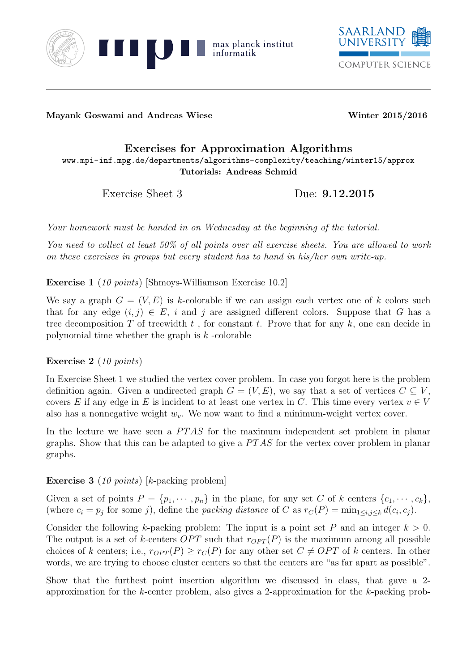



Mayank Goswami and Andreas Wiese Winter 2015/2016

## Exercises for Approximation Algorithms

www.mpi-inf.mpg.de/departments/algorithms-complexity/teaching/winter15/approx Tutorials: Andreas Schmid

Exercise Sheet 3 Due:  $9.12.2015$ 

Your homework must be handed in on Wednesday at the beginning of the tutorial.

You need to collect at least 50% of all points over all exercise sheets. You are allowed to work on these exercises in groups but every student has to hand in his/her own write-up.

Exercise 1 (10 points) [Shmoys-Williamson Exercise 10.2]

We say a graph  $G = (V, E)$  is k-colorable if we can assign each vertex one of k colors such that for any edge  $(i, j) \in E$ , i and j are assigned different colors. Suppose that G has a tree decomposition T of treewidth  $t$ , for constant  $t$ . Prove that for any  $k$ , one can decide in polynomial time whether the graph is  $k$ -colorable

Exercise 2 (10 points)

In Exercise Sheet 1 we studied the vertex cover problem. In case you forgot here is the problem definition again. Given a undirected graph  $G = (V, E)$ , we say that a set of vertices  $C \subseteq V$ , covers E if any edge in E is incident to at least one vertex in C. This time every vertex  $v \in V$ also has a nonnegative weight  $w_v$ . We now want to find a minimum-weight vertex cover.

In the lecture we have seen a  $PTAS$  for the maximum independent set problem in planar graphs. Show that this can be adapted to give a  $PTAS$  for the vertex cover problem in planar graphs.

## Exercise 3 (10 points) [k-packing problem]

Given a set of points  $P = \{p_1, \dots, p_n\}$  in the plane, for any set C of k centers  $\{c_1, \dots, c_k\}$ , (where  $c_i = p_j$  for some j), define the packing distance of C as  $r_C(P) = \min_{1 \le i,j \le k} d(c_i, c_j)$ .

Consider the following k-packing problem: The input is a point set P and an integer  $k > 0$ . The output is a set of k-centers OPT such that  $r_{OPT}(P)$  is the maximum among all possible choices of k centers; i.e.,  $r_{OPT}(P) \ge r_C(P)$  for any other set  $C \ne OPT$  of k centers. In other words, we are trying to choose cluster centers so that the centers are "as far apart as possible".

Show that the furthest point insertion algorithm we discussed in class, that gave a 2 approximation for the k-center problem, also gives a 2-approximation for the k-packing prob